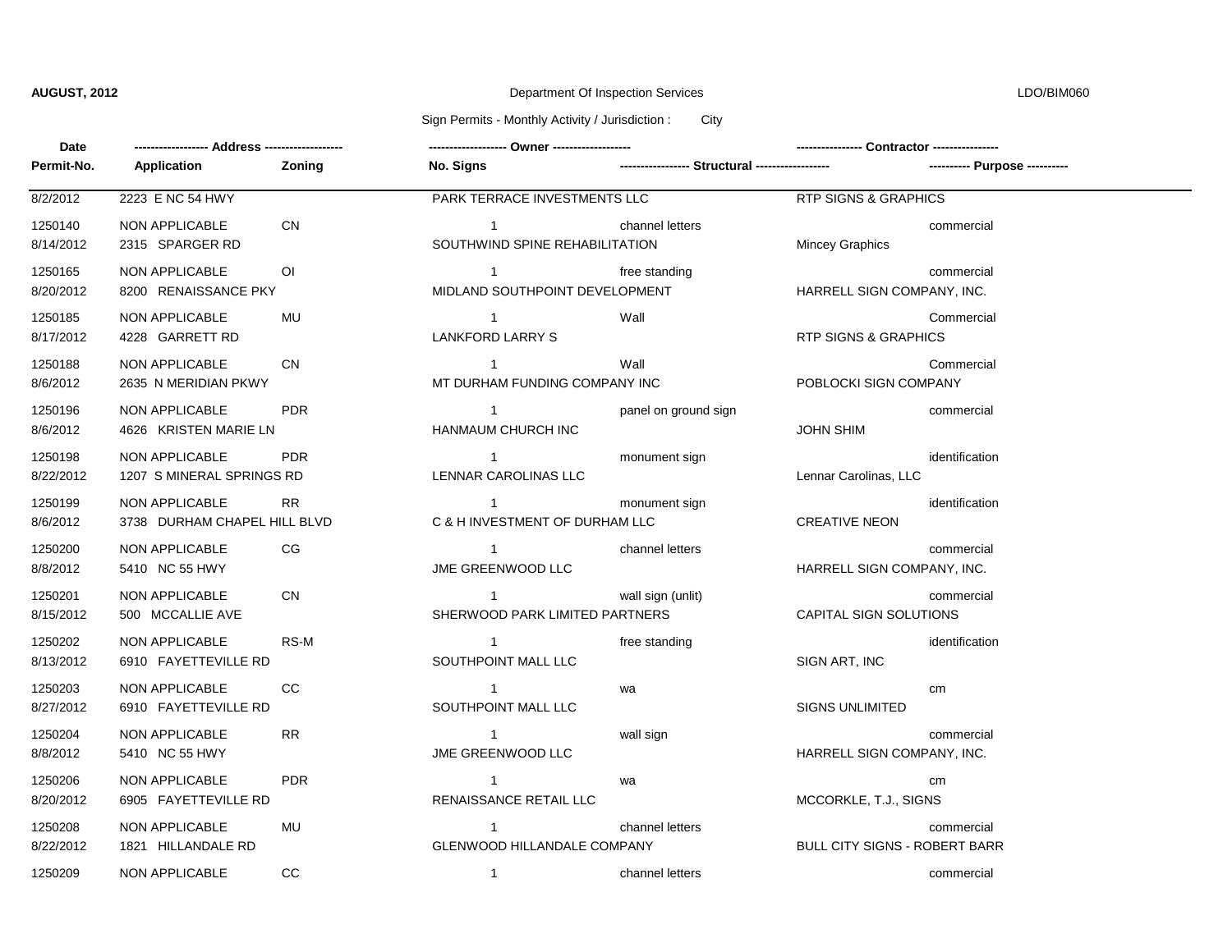# **AUGUST, 2012** Department Of Inspection Services LDO/BIM060

## Sign Permits - Monthly Activity / Jurisdiction : City

| Date                 |                                                       |                |                                                    |                      |                                      |                               |  |
|----------------------|-------------------------------------------------------|----------------|----------------------------------------------------|----------------------|--------------------------------------|-------------------------------|--|
| Permit-No.           | Application                                           | Zoning         | No. Signs                                          |                      |                                      | ---------- Purpose ---------- |  |
| 8/2/2012             | 2223 E NC 54 HWY                                      |                | PARK TERRACE INVESTMENTS LLC                       |                      | <b>RTP SIGNS &amp; GRAPHICS</b>      |                               |  |
| 1250140<br>8/14/2012 | <b>NON APPLICABLE</b><br>2315 SPARGER RD              | CN             | $\overline{1}$<br>SOUTHWIND SPINE REHABILITATION   | channel letters      | Mincey Graphics                      | commercial                    |  |
| 1250165<br>8/20/2012 | <b>NON APPLICABLE</b><br>8200 RENAISSANCE PKY         | $\overline{O}$ | $\overline{1}$<br>MIDLAND SOUTHPOINT DEVELOPMENT   | free standing        | HARRELL SIGN COMPANY, INC.           | commercial                    |  |
| 1250185<br>8/17/2012 | NON APPLICABLE<br>4228 GARRETT RD                     | MU             | $\overline{1}$<br>LANKFORD LARRY S                 | Wall                 | <b>RTP SIGNS &amp; GRAPHICS</b>      | Commercial                    |  |
| 1250188<br>8/6/2012  | <b>NON APPLICABLE</b><br>2635 N MERIDIAN PKWY         | <b>CN</b>      | $\overline{1}$<br>MT DURHAM FUNDING COMPANY INC    | Wall                 | POBLOCKI SIGN COMPANY                | Commercial                    |  |
| 1250196<br>8/6/2012  | NON APPLICABLE<br>4626 KRISTEN MARIE LN               | <b>PDR</b>     | $\overline{1}$<br>HANMAUM CHURCH INC               | panel on ground sign | <b>JOHN SHIM</b>                     | commercial                    |  |
| 1250198<br>8/22/2012 | <b>NON APPLICABLE</b><br>1207 S MINERAL SPRINGS RD    | <b>PDR</b>     | $\overline{1}$<br>LENNAR CAROLINAS LLC             | monument sign        | Lennar Carolinas, LLC                | identification                |  |
| 1250199<br>8/6/2012  | <b>NON APPLICABLE</b><br>3738 DURHAM CHAPEL HILL BLVD | <b>RR</b>      | $\overline{1}$<br>C & H INVESTMENT OF DURHAM LLC   | monument sign        | <b>CREATIVE NEON</b>                 | identification                |  |
| 1250200<br>8/8/2012  | <b>NON APPLICABLE</b><br>5410 NC 55 HWY               | CG             | $\overline{1}$<br>JME GREENWOOD LLC                | channel letters      | HARRELL SIGN COMPANY, INC.           | commercial                    |  |
| 1250201<br>8/15/2012 | <b>NON APPLICABLE</b><br>500 MCCALLIE AVE             | <b>CN</b>      | $\overline{1}$<br>SHERWOOD PARK LIMITED PARTNERS   | wall sign (unlit)    | CAPITAL SIGN SOLUTIONS               | commercial                    |  |
| 1250202<br>8/13/2012 | NON APPLICABLE<br>6910 FAYETTEVILLE RD                | RS-M           | $\overline{1}$<br>SOUTHPOINT MALL LLC              | free standing        | SIGN ART, INC                        | identification                |  |
| 1250203<br>8/27/2012 | NON APPLICABLE<br>6910 FAYETTEVILLE RD                | cc             | $\overline{1}$<br>SOUTHPOINT MALL LLC              | wa                   | <b>SIGNS UNLIMITED</b>               | cm                            |  |
| 1250204<br>8/8/2012  | <b>NON APPLICABLE</b><br>5410 NC 55 HWY               | RR.            | $\overline{1}$<br><b>JME GREENWOOD LLC</b>         | wall sign            | HARRELL SIGN COMPANY, INC.           | commercial                    |  |
| 1250206<br>8/20/2012 | NON APPLICABLE<br>6905 FAYETTEVILLE RD                | <b>PDR</b>     | $\mathbf{1}$<br>RENAISSANCE RETAIL LLC             | wa                   | MCCORKLE, T.J., SIGNS                | cm                            |  |
| 1250208<br>8/22/2012 | NON APPLICABLE<br>1821 HILLANDALE RD                  | MU             | $\mathbf{1}$<br><b>GLENWOOD HILLANDALE COMPANY</b> | channel letters      | <b>BULL CITY SIGNS - ROBERT BARR</b> | commercial                    |  |
| 1250209              | <b>NON APPLICABLE</b>                                 | CC             | $\overline{1}$                                     | channel letters      |                                      | commercial                    |  |